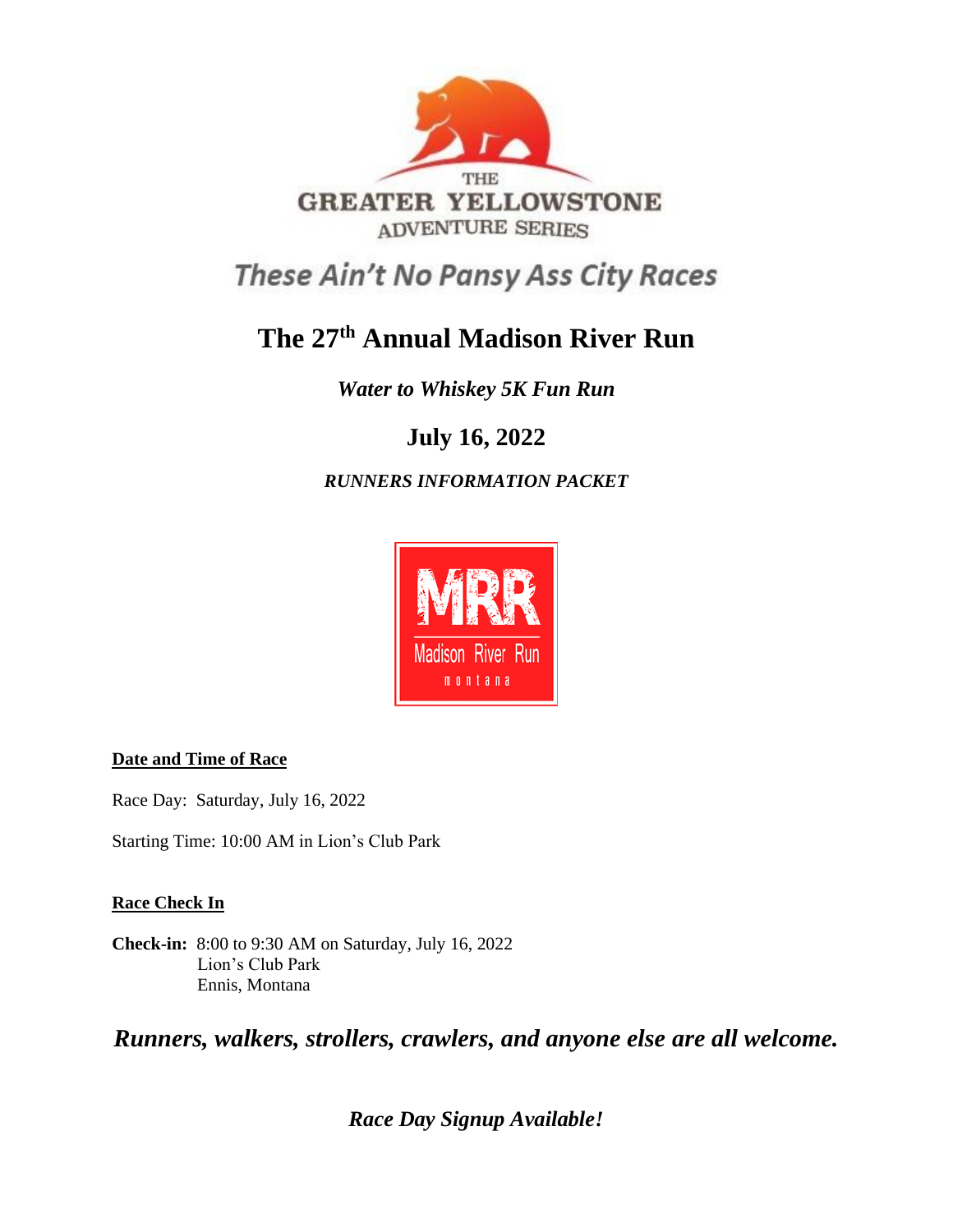

These Ain't No Pansy Ass City Races

# **The 27 th Annual Madison River Run**

*Water to Whiskey 5K Fun Run*

## **July 16, 2022**

*RUNNERS INFORMATION PACKET*



## **Date and Time of Race**

Race Day: Saturday, July 16, 2022

Starting Time: 10:00 AM in Lion's Club Park

## **Race Check In**

**Check-in:** 8:00 to 9:30 AM on Saturday, July 16, 2022 Lion's Club Park Ennis, Montana

*Runners, walkers, strollers, crawlers, and anyone else are all welcome.* 

*Race Day Signup Available!*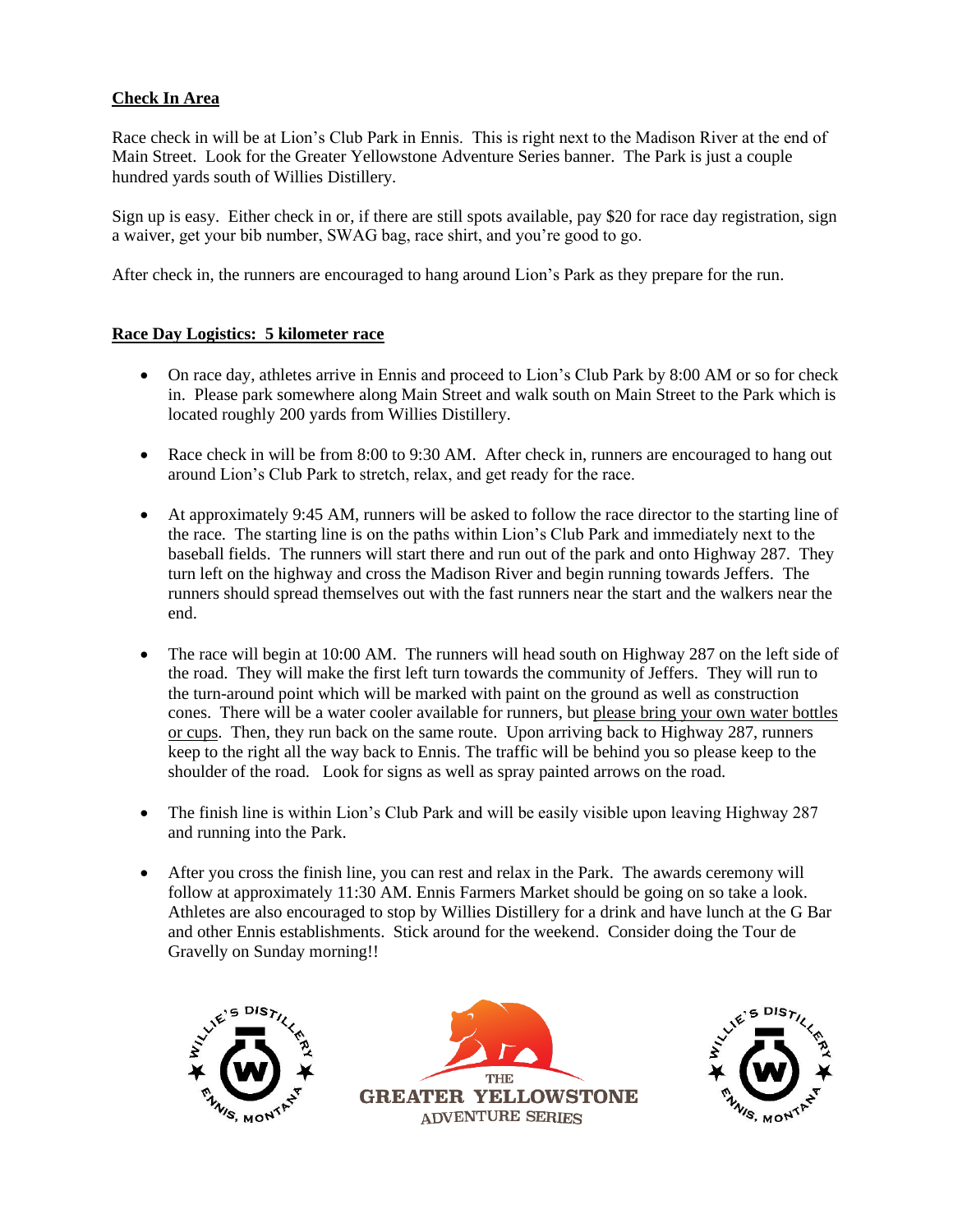#### **Check In Area**

Race check in will be at Lion's Club Park in Ennis. This is right next to the Madison River at the end of Main Street. Look for the Greater Yellowstone Adventure Series banner. The Park is just a couple hundred yards south of Willies Distillery.

Sign up is easy. Either check in or, if there are still spots available, pay \$20 for race day registration, sign a waiver, get your bib number, SWAG bag, race shirt, and you're good to go.

After check in, the runners are encouraged to hang around Lion's Park as they prepare for the run.

#### **Race Day Logistics: 5 kilometer race**

- On race day, athletes arrive in Ennis and proceed to Lion's Club Park by 8:00 AM or so for check in. Please park somewhere along Main Street and walk south on Main Street to the Park which is located roughly 200 yards from Willies Distillery.
- Race check in will be from 8:00 to 9:30 AM. After check in, runners are encouraged to hang out around Lion's Club Park to stretch, relax, and get ready for the race.
- At approximately 9:45 AM, runners will be asked to follow the race director to the starting line of the race. The starting line is on the paths within Lion's Club Park and immediately next to the baseball fields. The runners will start there and run out of the park and onto Highway 287. They turn left on the highway and cross the Madison River and begin running towards Jeffers. The runners should spread themselves out with the fast runners near the start and the walkers near the end.
- The race will begin at 10:00 AM. The runners will head south on Highway 287 on the left side of the road. They will make the first left turn towards the community of Jeffers. They will run to the turn-around point which will be marked with paint on the ground as well as construction cones. There will be a water cooler available for runners, but please bring your own water bottles or cups. Then, they run back on the same route. Upon arriving back to Highway 287, runners keep to the right all the way back to Ennis. The traffic will be behind you so please keep to the shoulder of the road. Look for signs as well as spray painted arrows on the road.
- The finish line is within Lion's Club Park and will be easily visible upon leaving Highway 287 and running into the Park.
- After you cross the finish line, you can rest and relax in the Park. The awards ceremony will follow at approximately 11:30 AM. Ennis Farmers Market should be going on so take a look. Athletes are also encouraged to stop by Willies Distillery for a drink and have lunch at the G Bar and other Ennis establishments. Stick around for the weekend. Consider doing the Tour de Gravelly on Sunday morning!!





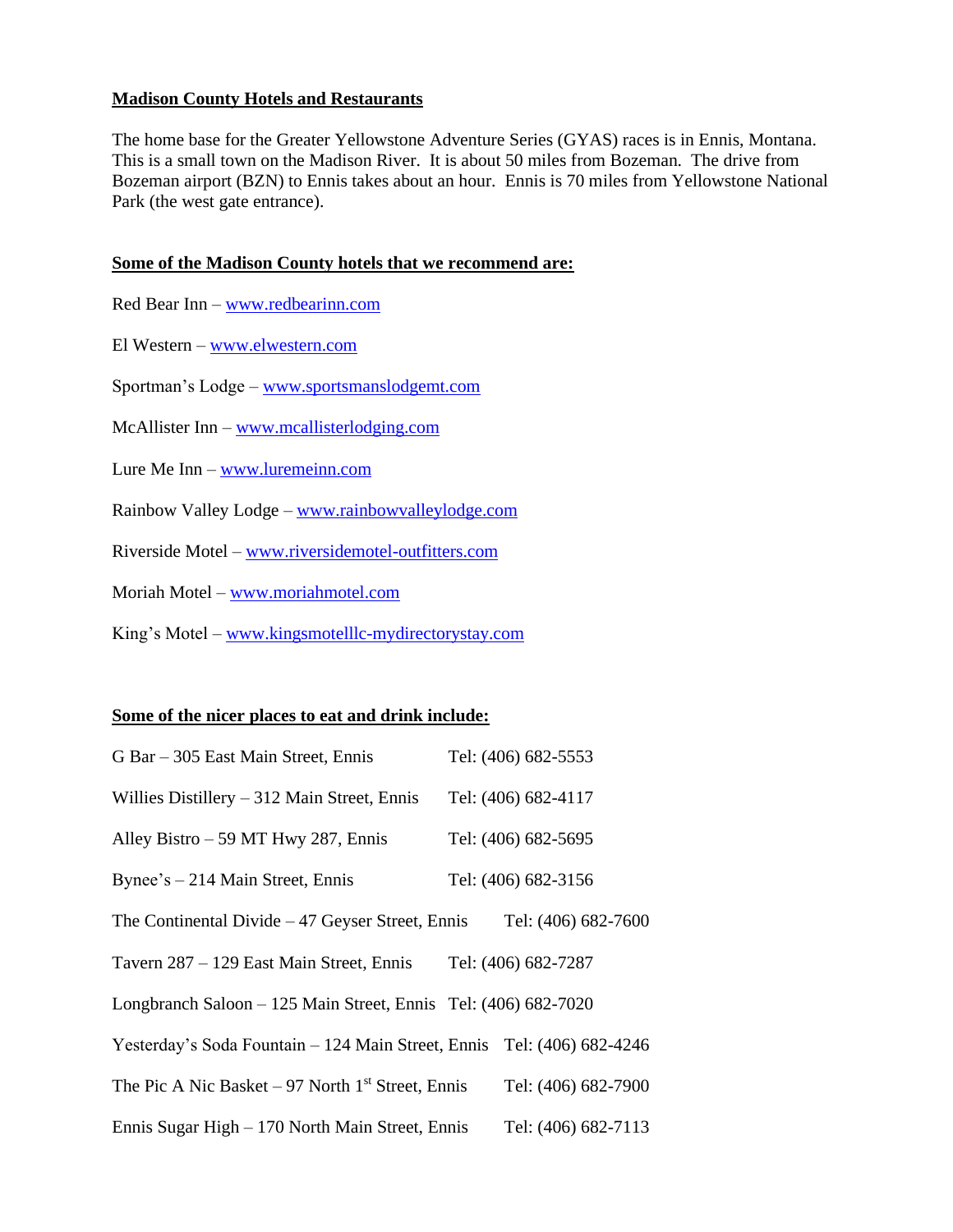#### **Madison County Hotels and Restaurants**

The home base for the Greater Yellowstone Adventure Series (GYAS) races is in Ennis, Montana. This is a small town on the Madison River. It is about 50 miles from Bozeman. The drive from Bozeman airport (BZN) to Ennis takes about an hour. Ennis is 70 miles from Yellowstone National Park (the west gate entrance).

#### **Some of the Madison County hotels that we recommend are:**

- Red Bear Inn [www.redbearinn.com](http://www.redbearinn.com/)
- El Western [www.elwestern.com](http://www.elwestern.com/)
- Sportman's Lodge [www.sportsmanslodgemt.com](http://www.sportsmanslodgemt.com/)
- McAllister Inn [www.mcallisterlodging.com](http://www.mcallisterlodging.com/)
- Lure Me Inn [www.luremeinn.com](http://www.luremeinn.com/)
- Rainbow Valley Lodge [www.rainbowvalleylodge.com](http://www.rainbowvalleylodge.com/)
- Riverside Motel [www.riversidemotel-outfitters.com](http://www.riversidemotel-outfitters.com/)
- Moriah Motel [www.moriahmotel.com](http://www.moriahmotel.com/)
- King's Motel [www.kingsmotelllc-mydirectorystay.com](http://www.kingsmotelllc-mydirectorystay.com/)

#### **Some of the nicer places to eat and drink include:**

| G Bar – 305 East Main Street, Ennis                                    | Tel: (406) 682-5553 |
|------------------------------------------------------------------------|---------------------|
| Willies Distillery $-312$ Main Street, Ennis                           | Tel: (406) 682-4117 |
| Alley Bistro $-59$ MT Hwy 287, Ennis                                   | Tel: (406) 682-5695 |
| Bynee's $-214$ Main Street, Ennis                                      | Tel: (406) 682-3156 |
| The Continental Divide $-47$ Geyser Street, Ennis                      | Tel: (406) 682-7600 |
| Tavern 287 – 129 East Main Street, Ennis                               | Tel: (406) 682-7287 |
| Longbranch Saloon – 125 Main Street, Ennis Tel: (406) 682-7020         |                     |
| Yesterday's Soda Fountain - 124 Main Street, Ennis Tel: (406) 682-4246 |                     |
| The Pic A Nic Basket – 97 North $1st$ Street, Ennis                    | Tel: (406) 682-7900 |
| Ennis Sugar High – 170 North Main Street, Ennis                        | Tel: (406) 682-7113 |